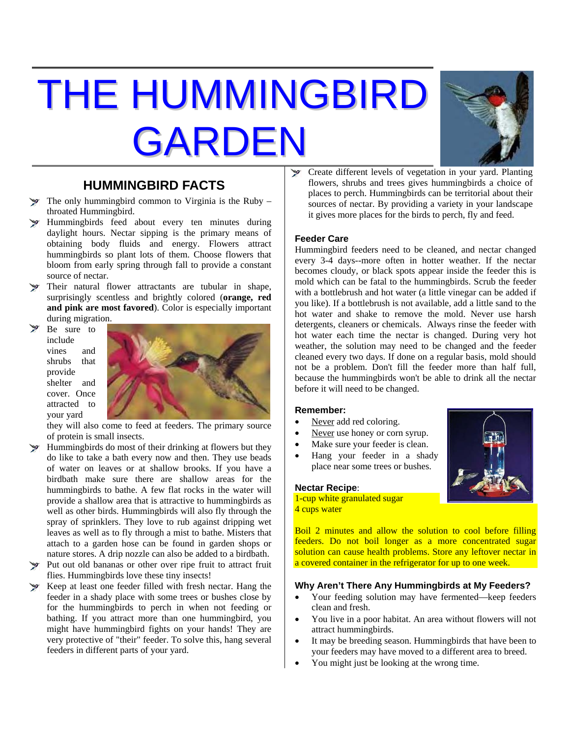# THE HUMMINGBIRD GARDEN



### **HUMMINGBIRD FACTS**

- The only hummingbird common to Virginia is the Ruby throated Hummingbird.
- Hummingbirds feed about every ten minutes during daylight hours. Nectar sipping is the primary means of obtaining body fluids and energy. Flowers attract hummingbirds so plant lots of them. Choose flowers that bloom from early spring through fall to provide a constant source of nectar.
- Their natural flower attractants are tubular in shape, surprisingly scentless and brightly colored (**orange, red and pink are most favored**). Color is especially important during migration.
	- Be sure to include vines and shrubs that provide shelter and cover. Once attracted to your yard



they will also come to feed at feeders. The primary source of protein is small insects.

- **Hummingbirds do most of their drinking at flowers but they** do like to take a bath every now and then. They use beads of water on leaves or at shallow brooks. If you have a birdbath make sure there are shallow areas for the hummingbirds to bathe. A few flat rocks in the water will provide a shallow area that is attractive to hummingbirds as well as other birds. Hummingbirds will also fly through the spray of sprinklers. They love to rub against dripping wet leaves as well as to fly through a mist to bathe. Misters that attach to a garden hose can be found in garden shops or nature stores. A drip nozzle can also be added to a birdbath.
- Put out old bananas or other over ripe fruit to attract fruit flies. Hummingbirds love these tiny insects!
- Keep at least one feeder filled with fresh nectar. Hang the feeder in a shady place with some trees or bushes close by for the hummingbirds to perch in when not feeding or bathing. If you attract more than one hummingbird, you might have hummingbird fights on your hands! They are very protective of "their" feeder. To solve this, hang several feeders in different parts of your yard.

Create different levels of vegetation in your yard. Planting  $\mathcal{P}$ flowers, shrubs and trees gives hummingbirds a choice of places to perch. Hummingbirds can be territorial about their sources of nectar. By providing a variety in your landscape it gives more places for the birds to perch, fly and feed.

#### **Feeder Care**

Hummingbird feeders need to be cleaned, and nectar changed every 3-4 days--more often in hotter weather. If the nectar becomes cloudy, or black spots appear inside the feeder this is mold which can be fatal to the hummingbirds. Scrub the feeder with a bottlebrush and hot water (a little vinegar can be added if you like). If a bottlebrush is not available, add a little sand to the hot water and shake to remove the mold. Never use harsh detergents, cleaners or chemicals. Always rinse the feeder with hot water each time the nectar is changed. During very hot weather, the solution may need to be changed and the feeder cleaned every two days. If done on a regular basis, mold should not be a problem. Don't fill the feeder more than half full, because the hummingbirds won't be able to drink all the nectar before it will need to be changed.

#### **Remember:**

- Never add red coloring.
- Never use honey or corn syrup.
- Make sure your feeder is clean.
- Hang your feeder in a shady place near some trees or bushes.

#### **Nectar Recipe**:

1-cup white granulated sugar 4 cups water

Boil 2 minutes and allow the solution to cool before filling feeders. Do not boil longer as a more concentrated sugar solution can cause health problems. Store any leftover nectar in a covered container in the refrigerator for up to one week.

#### **Why Aren't There Any Hummingbirds at My Feeders?**

- Your feeding solution may have fermented—keep feeders clean and fresh.
- You live in a poor habitat. An area without flowers will not attract hummingbirds.
- It may be breeding season. Hummingbirds that have been to your feeders may have moved to a different area to breed.
- You might just be looking at the wrong time.

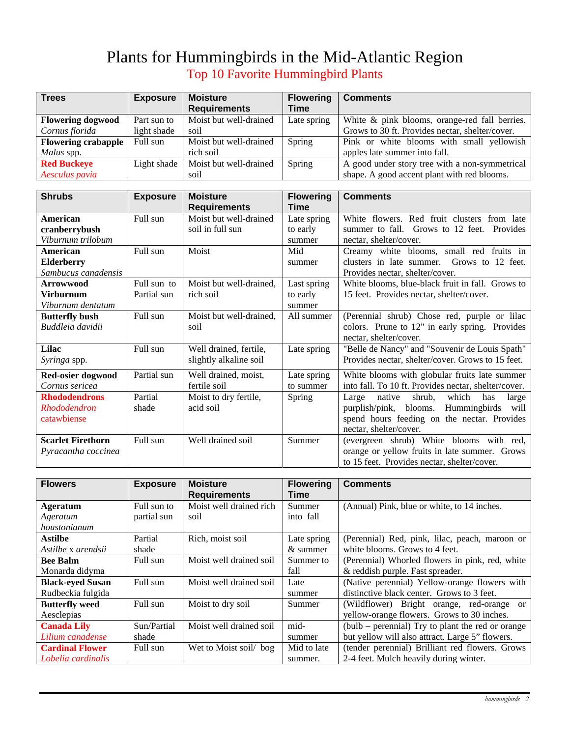## Plants for Hummingbirds in the Mid-Atlantic Region Top 10 Favorite Hummingbird Plants

| <b>Trees</b>               | <b>Exposure</b> | <b>Moisture</b>        | <b>Flowering</b> | <b>Comments</b>                                 |
|----------------------------|-----------------|------------------------|------------------|-------------------------------------------------|
|                            |                 | <b>Requirements</b>    | Time             |                                                 |
| <b>Flowering dogwood</b>   | Part sun to     | Moist but well-drained | Late spring      | White & pink blooms, orange-red fall berries.   |
| Cornus florida             | light shade     | soil                   |                  | Grows to 30 ft. Provides nectar, shelter/cover. |
| <b>Flowering crabapple</b> | Full sun        | Moist but well-drained | Spring           | Pink or white blooms with small yellowish       |
| Malus spp.                 |                 | rich soil              |                  | apples late summer into fall.                   |
| <b>Red Buckeye</b>         | Light shade     | Moist but well-drained | Spring           | A good under story tree with a non-symmetrical  |
| Aesculus pavia             |                 | soil                   |                  | shape. A good accent plant with red blooms.     |

| <b>Shrubs</b>            | <b>Exposure</b> | <b>Moisture</b>         | <b>Flowering</b> | <b>Comments</b>                                      |
|--------------------------|-----------------|-------------------------|------------------|------------------------------------------------------|
|                          |                 | <b>Requirements</b>     | Time             |                                                      |
| American                 | Full sun        | Moist but well-drained  | Late spring      | White flowers. Red fruit clusters from late          |
| cranberrybush            |                 | soil in full sun        | to early         | summer to fall. Grows to 12 feet. Provides           |
| Viburnum trilobum        |                 |                         | summer           | nectar, shelter/cover.                               |
| American                 | Full sun        | Moist                   | Mid              | Creamy white blooms, small red fruits in             |
| <b>Elderberry</b>        |                 |                         | summer           | clusters in late summer. Grows to 12 feet.           |
| Sambucus canadensis      |                 |                         |                  | Provides nectar, shelter/cover.                      |
| <b>Arrowwood</b>         | Full sun to     | Moist but well-drained, | Last spring      | White blooms, blue-black fruit in fall. Grows to     |
| <b>Virburnum</b>         | Partial sun     | rich soil               | to early         | 15 feet. Provides nectar, shelter/cover.             |
| Viburnum dentatum        |                 |                         | summer           |                                                      |
| <b>Butterfly bush</b>    | Full sun        | Moist but well-drained, | All summer       | (Perennial shrub) Chose red, purple or lilac         |
| Buddleia davidii         |                 | soil                    |                  | colors. Prune to 12" in early spring. Provides       |
|                          |                 |                         |                  | nectar, shelter/cover.                               |
| Lilac                    | Full sun        | Well drained, fertile,  | Late spring      | "Belle de Nancy" and "Souvenir de Louis Spath"       |
| Syringa spp.             |                 | slightly alkaline soil  |                  | Provides nectar, shelter/cover. Grows to 15 feet.    |
| Red-osier dogwood        | Partial sun     | Well drained, moist,    | Late spring      | White blooms with globular fruits late summer        |
| Cornus sericea           |                 | fertile soil            | to summer        | into fall. To 10 ft. Provides nectar, shelter/cover. |
| <b>Rhododendrons</b>     | Partial         | Moist to dry fertile,   | Spring           | Large native<br>shrub,<br>which<br>has<br>large      |
| Rhododendron             | shade           | acid soil               |                  | Hummingbirds<br>purplish/pink, blooms.<br>will       |
| catawbiense              |                 |                         |                  | spend hours feeding on the nectar. Provides          |
|                          |                 |                         |                  | nectar, shelter/cover.                               |
| <b>Scarlet Firethorn</b> | Full sun        | Well drained soil       | Summer           | (evergreen shrub) White blooms with red,             |
| Pyracantha coccinea      |                 |                         |                  | orange or yellow fruits in late summer. Grows        |
|                          |                 |                         |                  | to 15 feet. Provides nectar, shelter/cover.          |

| <b>Flowers</b>          | <b>Exposure</b> | <b>Moisture</b>         | <b>Flowering</b> | <b>Comments</b>                                         |
|-------------------------|-----------------|-------------------------|------------------|---------------------------------------------------------|
|                         |                 | <b>Requirements</b>     | <b>Time</b>      |                                                         |
| <b>Ageratum</b>         | Full sun to     | Moist well drained rich | Summer           | (Annual) Pink, blue or white, to 14 inches.             |
| Ageratum                | partial sun     | soil                    | into fall        |                                                         |
| houstonianum            |                 |                         |                  |                                                         |
| <b>Astilbe</b>          | Partial         | Rich, moist soil        | Late spring      | (Perennial) Red, pink, lilac, peach, maroon or          |
| Astilbe x arendsii      | shade           |                         | $&$ summer       | white blooms. Grows to 4 feet.                          |
| <b>Bee Balm</b>         | Full sun        | Moist well drained soil | Summer to        | (Perennial) Whorled flowers in pink, red, white         |
| Monarda didyma          |                 |                         | fall             | & reddish purple. Fast spreader.                        |
| <b>Black-eyed Susan</b> | Full sun        | Moist well drained soil | Late             | (Native perennial) Yellow-orange flowers with           |
| Rudbeckia fulgida       |                 |                         | summer           | distinctive black center. Grows to 3 feet.              |
| <b>Butterfly weed</b>   | Full sun        | Moist to dry soil       | Summer           | (Wildflower) Bright orange, red-orange<br><sub>or</sub> |
| Aesclepias              |                 |                         |                  | yellow-orange flowers. Grows to 30 inches.              |
| <b>Canada Lily</b>      | Sun/Partial     | Moist well drained soil | mid-             | (bulb – perennial) Try to plant the red or orange       |
| Lilium canadense        | shade           |                         | summer           | but yellow will also attract. Large 5" flowers.         |
| <b>Cardinal Flower</b>  | Full sun        | Wet to Moist soil/bog   | Mid to late      | (tender perennial) Brilliant red flowers. Grows         |
| Lobelia cardinalis      |                 |                         | summer.          | 2-4 feet. Mulch heavily during winter.                  |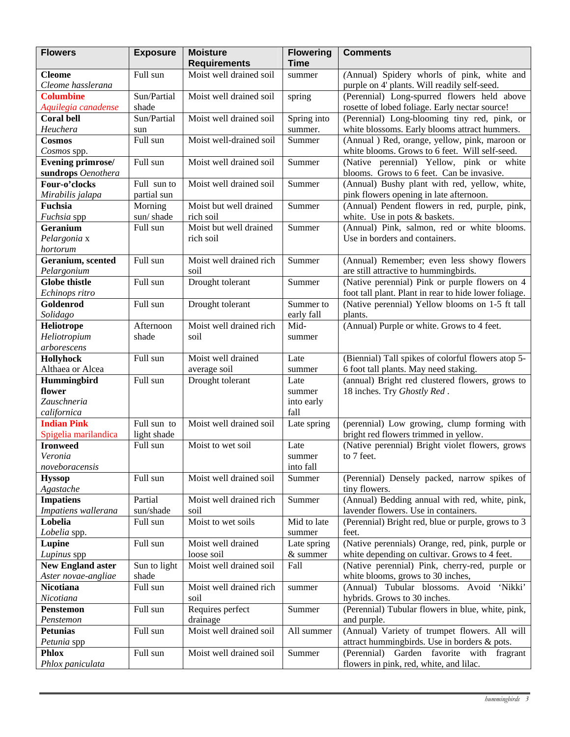| <b>Requirements</b><br><b>Time</b><br>Moist well drained soil<br>Full sun<br>(Annual) Spidery whorls of pink, white and<br><b>Cleome</b><br>summer<br>purple on 4' plants. Will readily self-seed.<br>Cleome hasslerana<br>Sun/Partial<br>Moist well drained soil<br><b>Columbine</b><br>(Perennial) Long-spurred flowers held above<br>spring<br>shade<br>rosette of lobed foliage. Early nectar source!<br>Aquilegia canadense<br>Sun/Partial<br>(Perennial) Long-blooming tiny red, pink, or<br><b>Coral bell</b><br>Moist well drained soil<br>Spring into<br>Heuchera<br>white blossoms. Early blooms attract hummers.<br>summer.<br>sun<br>Full sun<br>Moist well-drained soil<br>(Annual ) Red, orange, yellow, pink, maroon or<br>Cosmos<br>Summer<br>white blooms. Grows to 6 feet. Will self-seed.<br>Cosmos spp.<br><b>Evening primrose/</b><br>Full sun<br>Moist well drained soil<br>(Native perennial) Yellow, pink or white<br>Summer<br>sundrops Oenothera<br>blooms. Grows to 6 feet. Can be invasive.<br>Four-o'clocks<br>Moist well drained soil<br>(Annual) Bushy plant with red, yellow, white,<br>Full sun to<br>Summer<br>partial sun<br>pink flowers opening in late afternoon.<br>Mirabilis jalapa<br>Moist but well drained<br>(Annual) Pendent flowers in red, purple, pink,<br>Fuchsia<br>Morning<br>Summer<br>sun/shade<br>rich soil<br>Fuchsia spp<br>white. Use in pots & baskets.<br>Moist but well drained<br>(Annual) Pink, salmon, red or white blooms.<br>Geranium<br>Full sun<br>Summer<br>Use in borders and containers.<br>Pelargonia x<br>rich soil<br>hortorum<br>Geranium, scented<br>Full sun<br>Moist well drained rich<br>(Annual) Remember; even less showy flowers<br>Summer<br>are still attractive to hummingbirds.<br>Pelargonium<br>soil<br>(Native perennial) Pink or purple flowers on 4<br>Full sun<br><b>Globe thistle</b><br>Drought tolerant<br>Summer<br>foot tall plant. Plant in rear to hide lower foliage.<br>Echinops ritro<br>Goldenrod<br>Full sun<br>Drought tolerant<br>(Native perennial) Yellow blooms on 1-5 ft tall<br>Summer to<br>Solidago<br>early fall<br>plants.<br>Moist well drained rich<br>Mid-<br>(Annual) Purple or white. Grows to 4 feet.<br>Heliotrope<br>Afternoon<br>Heliotropium<br>shade<br>soil<br>summer<br>arborescens<br><b>Hollyhock</b><br>Full sun<br>Moist well drained<br>(Biennial) Tall spikes of colorful flowers atop 5-<br>Late<br>Althaea or Alcea<br>6 foot tall plants. May need staking.<br>average soil<br>summer<br>Hummingbird<br>Full sun<br>(annual) Bright red clustered flowers, grows to<br>Drought tolerant<br>Late<br>18 inches. Try Ghostly Red.<br>flower<br>summer<br>Zauschneria<br>into early<br>fall<br>californica<br><b>Indian Pink</b><br>Full sun to<br>Moist well drained soil<br>(perennial) Low growing, clump forming with<br>Late spring<br>bright red flowers trimmed in yellow.<br>Spigelia marilandica<br>light shade<br>Full sun<br>Moist to wet soil<br>(Native perennial) Bright violet flowers, grows<br><b>Ironweed</b><br>Late<br>to 7 feet.<br>Veronia<br>summer<br>noveboracensis<br>into fall<br>Moist well drained soil<br>Full sun<br>(Perennial) Densely packed, narrow spikes of<br><b>Hyssop</b><br>Summer<br>Agastache<br>tiny flowers.<br>(Annual) Bedding annual with red, white, pink,<br>Moist well drained rich<br><b>Impatiens</b><br>Partial<br>Summer<br>Impatiens wallerana<br>lavender flowers. Use in containers.<br>sun/shade<br>soil<br>Lobelia<br>(Perennial) Bright red, blue or purple, grows to 3<br>Full sun<br>Moist to wet soils<br>Mid to late<br>Lobelia spp.<br>feet.<br>summer<br>Full sun<br>Moist well drained<br>(Native perennials) Orange, red, pink, purple or<br>Lupine<br>Late spring<br>white depending on cultivar. Grows to 4 feet.<br>loose soil<br>& summer<br>Lupinus spp<br>Sun to light<br>Moist well drained soil<br>Fall<br>(Native perennial) Pink, cherry-red, purple or<br><b>New England aster</b><br>shade<br>white blooms, grows to 30 inches,<br>Aster novae-angliae<br>Moist well drained rich<br>(Annual) Tubular blossoms. Avoid<br>Nicotiana<br>Full sun<br>'Nikki'<br>summer<br>Nicotiana<br>soil<br>hybrids. Grows to 30 inches.<br>Full sun<br>Requires perfect<br>(Perennial) Tubular flowers in blue, white, pink,<br><b>Penstemon</b><br>Summer<br>drainage<br>Penstemon<br>and purple.<br>Full sun<br>Moist well drained soil<br>(Annual) Variety of trumpet flowers. All will<br>All summer<br><b>Petunias</b><br>attract hummingbirds. Use in borders & pots.<br>Petunia spp<br>Full sun<br>Moist well drained soil<br>(Perennial) Garden favorite with fragrant<br><b>Phlox</b><br>Summer<br>Phlox paniculata<br>flowers in pink, red, white, and lilac. | <b>Flowers</b> | <b>Exposure</b> | <b>Moisture</b> | <b>Flowering</b> | <b>Comments</b> |
|-------------------------------------------------------------------------------------------------------------------------------------------------------------------------------------------------------------------------------------------------------------------------------------------------------------------------------------------------------------------------------------------------------------------------------------------------------------------------------------------------------------------------------------------------------------------------------------------------------------------------------------------------------------------------------------------------------------------------------------------------------------------------------------------------------------------------------------------------------------------------------------------------------------------------------------------------------------------------------------------------------------------------------------------------------------------------------------------------------------------------------------------------------------------------------------------------------------------------------------------------------------------------------------------------------------------------------------------------------------------------------------------------------------------------------------------------------------------------------------------------------------------------------------------------------------------------------------------------------------------------------------------------------------------------------------------------------------------------------------------------------------------------------------------------------------------------------------------------------------------------------------------------------------------------------------------------------------------------------------------------------------------------------------------------------------------------------------------------------------------------------------------------------------------------------------------------------------------------------------------------------------------------------------------------------------------------------------------------------------------------------------------------------------------------------------------------------------------------------------------------------------------------------------------------------------------------------------------------------------------------------------------------------------------------------------------------------------------------------------------------------------------------------------------------------------------------------------------------------------------------------------------------------------------------------------------------------------------------------------------------------------------------------------------------------------------------------------------------------------------------------------------------------------------------------------------------------------------------------------------------------------------------------------------------------------------------------------------------------------------------------------------------------------------------------------------------------------------------------------------------------------------------------------------------------------------------------------------------------------------------------------------------------------------------------------------------------------------------------------------------------------------------------------------------------------------------------------------------------------------------------------------------------------------------------------------------------------------------------------------------------------------------------------------------------------------------------------------------------------------------------------------------------------------------------------------------------------------------------------------------------------------------------------------------------------------------------------------------------------------------------------------------------------------------------------------------------------------------------------------------------------------------------------------------------------------------------------------------------------------------------------------------------------------------------------------------------------------------------------------------------------------------------|----------------|-----------------|-----------------|------------------|-----------------|
|                                                                                                                                                                                                                                                                                                                                                                                                                                                                                                                                                                                                                                                                                                                                                                                                                                                                                                                                                                                                                                                                                                                                                                                                                                                                                                                                                                                                                                                                                                                                                                                                                                                                                                                                                                                                                                                                                                                                                                                                                                                                                                                                                                                                                                                                                                                                                                                                                                                                                                                                                                                                                                                                                                                                                                                                                                                                                                                                                                                                                                                                                                                                                                                                                                                                                                                                                                                                                                                                                                                                                                                                                                                                                                                                                                                                                                                                                                                                                                                                                                                                                                                                                                                                                                                                                                                                                                                                                                                                                                                                                                                                                                                                                                                                                                               |                |                 |                 |                  |                 |
|                                                                                                                                                                                                                                                                                                                                                                                                                                                                                                                                                                                                                                                                                                                                                                                                                                                                                                                                                                                                                                                                                                                                                                                                                                                                                                                                                                                                                                                                                                                                                                                                                                                                                                                                                                                                                                                                                                                                                                                                                                                                                                                                                                                                                                                                                                                                                                                                                                                                                                                                                                                                                                                                                                                                                                                                                                                                                                                                                                                                                                                                                                                                                                                                                                                                                                                                                                                                                                                                                                                                                                                                                                                                                                                                                                                                                                                                                                                                                                                                                                                                                                                                                                                                                                                                                                                                                                                                                                                                                                                                                                                                                                                                                                                                                                               |                |                 |                 |                  |                 |
|                                                                                                                                                                                                                                                                                                                                                                                                                                                                                                                                                                                                                                                                                                                                                                                                                                                                                                                                                                                                                                                                                                                                                                                                                                                                                                                                                                                                                                                                                                                                                                                                                                                                                                                                                                                                                                                                                                                                                                                                                                                                                                                                                                                                                                                                                                                                                                                                                                                                                                                                                                                                                                                                                                                                                                                                                                                                                                                                                                                                                                                                                                                                                                                                                                                                                                                                                                                                                                                                                                                                                                                                                                                                                                                                                                                                                                                                                                                                                                                                                                                                                                                                                                                                                                                                                                                                                                                                                                                                                                                                                                                                                                                                                                                                                                               |                |                 |                 |                  |                 |
|                                                                                                                                                                                                                                                                                                                                                                                                                                                                                                                                                                                                                                                                                                                                                                                                                                                                                                                                                                                                                                                                                                                                                                                                                                                                                                                                                                                                                                                                                                                                                                                                                                                                                                                                                                                                                                                                                                                                                                                                                                                                                                                                                                                                                                                                                                                                                                                                                                                                                                                                                                                                                                                                                                                                                                                                                                                                                                                                                                                                                                                                                                                                                                                                                                                                                                                                                                                                                                                                                                                                                                                                                                                                                                                                                                                                                                                                                                                                                                                                                                                                                                                                                                                                                                                                                                                                                                                                                                                                                                                                                                                                                                                                                                                                                                               |                |                 |                 |                  |                 |
|                                                                                                                                                                                                                                                                                                                                                                                                                                                                                                                                                                                                                                                                                                                                                                                                                                                                                                                                                                                                                                                                                                                                                                                                                                                                                                                                                                                                                                                                                                                                                                                                                                                                                                                                                                                                                                                                                                                                                                                                                                                                                                                                                                                                                                                                                                                                                                                                                                                                                                                                                                                                                                                                                                                                                                                                                                                                                                                                                                                                                                                                                                                                                                                                                                                                                                                                                                                                                                                                                                                                                                                                                                                                                                                                                                                                                                                                                                                                                                                                                                                                                                                                                                                                                                                                                                                                                                                                                                                                                                                                                                                                                                                                                                                                                                               |                |                 |                 |                  |                 |
|                                                                                                                                                                                                                                                                                                                                                                                                                                                                                                                                                                                                                                                                                                                                                                                                                                                                                                                                                                                                                                                                                                                                                                                                                                                                                                                                                                                                                                                                                                                                                                                                                                                                                                                                                                                                                                                                                                                                                                                                                                                                                                                                                                                                                                                                                                                                                                                                                                                                                                                                                                                                                                                                                                                                                                                                                                                                                                                                                                                                                                                                                                                                                                                                                                                                                                                                                                                                                                                                                                                                                                                                                                                                                                                                                                                                                                                                                                                                                                                                                                                                                                                                                                                                                                                                                                                                                                                                                                                                                                                                                                                                                                                                                                                                                                               |                |                 |                 |                  |                 |
|                                                                                                                                                                                                                                                                                                                                                                                                                                                                                                                                                                                                                                                                                                                                                                                                                                                                                                                                                                                                                                                                                                                                                                                                                                                                                                                                                                                                                                                                                                                                                                                                                                                                                                                                                                                                                                                                                                                                                                                                                                                                                                                                                                                                                                                                                                                                                                                                                                                                                                                                                                                                                                                                                                                                                                                                                                                                                                                                                                                                                                                                                                                                                                                                                                                                                                                                                                                                                                                                                                                                                                                                                                                                                                                                                                                                                                                                                                                                                                                                                                                                                                                                                                                                                                                                                                                                                                                                                                                                                                                                                                                                                                                                                                                                                                               |                |                 |                 |                  |                 |
|                                                                                                                                                                                                                                                                                                                                                                                                                                                                                                                                                                                                                                                                                                                                                                                                                                                                                                                                                                                                                                                                                                                                                                                                                                                                                                                                                                                                                                                                                                                                                                                                                                                                                                                                                                                                                                                                                                                                                                                                                                                                                                                                                                                                                                                                                                                                                                                                                                                                                                                                                                                                                                                                                                                                                                                                                                                                                                                                                                                                                                                                                                                                                                                                                                                                                                                                                                                                                                                                                                                                                                                                                                                                                                                                                                                                                                                                                                                                                                                                                                                                                                                                                                                                                                                                                                                                                                                                                                                                                                                                                                                                                                                                                                                                                                               |                |                 |                 |                  |                 |
|                                                                                                                                                                                                                                                                                                                                                                                                                                                                                                                                                                                                                                                                                                                                                                                                                                                                                                                                                                                                                                                                                                                                                                                                                                                                                                                                                                                                                                                                                                                                                                                                                                                                                                                                                                                                                                                                                                                                                                                                                                                                                                                                                                                                                                                                                                                                                                                                                                                                                                                                                                                                                                                                                                                                                                                                                                                                                                                                                                                                                                                                                                                                                                                                                                                                                                                                                                                                                                                                                                                                                                                                                                                                                                                                                                                                                                                                                                                                                                                                                                                                                                                                                                                                                                                                                                                                                                                                                                                                                                                                                                                                                                                                                                                                                                               |                |                 |                 |                  |                 |
|                                                                                                                                                                                                                                                                                                                                                                                                                                                                                                                                                                                                                                                                                                                                                                                                                                                                                                                                                                                                                                                                                                                                                                                                                                                                                                                                                                                                                                                                                                                                                                                                                                                                                                                                                                                                                                                                                                                                                                                                                                                                                                                                                                                                                                                                                                                                                                                                                                                                                                                                                                                                                                                                                                                                                                                                                                                                                                                                                                                                                                                                                                                                                                                                                                                                                                                                                                                                                                                                                                                                                                                                                                                                                                                                                                                                                                                                                                                                                                                                                                                                                                                                                                                                                                                                                                                                                                                                                                                                                                                                                                                                                                                                                                                                                                               |                |                 |                 |                  |                 |
|                                                                                                                                                                                                                                                                                                                                                                                                                                                                                                                                                                                                                                                                                                                                                                                                                                                                                                                                                                                                                                                                                                                                                                                                                                                                                                                                                                                                                                                                                                                                                                                                                                                                                                                                                                                                                                                                                                                                                                                                                                                                                                                                                                                                                                                                                                                                                                                                                                                                                                                                                                                                                                                                                                                                                                                                                                                                                                                                                                                                                                                                                                                                                                                                                                                                                                                                                                                                                                                                                                                                                                                                                                                                                                                                                                                                                                                                                                                                                                                                                                                                                                                                                                                                                                                                                                                                                                                                                                                                                                                                                                                                                                                                                                                                                                               |                |                 |                 |                  |                 |
|                                                                                                                                                                                                                                                                                                                                                                                                                                                                                                                                                                                                                                                                                                                                                                                                                                                                                                                                                                                                                                                                                                                                                                                                                                                                                                                                                                                                                                                                                                                                                                                                                                                                                                                                                                                                                                                                                                                                                                                                                                                                                                                                                                                                                                                                                                                                                                                                                                                                                                                                                                                                                                                                                                                                                                                                                                                                                                                                                                                                                                                                                                                                                                                                                                                                                                                                                                                                                                                                                                                                                                                                                                                                                                                                                                                                                                                                                                                                                                                                                                                                                                                                                                                                                                                                                                                                                                                                                                                                                                                                                                                                                                                                                                                                                                               |                |                 |                 |                  |                 |
|                                                                                                                                                                                                                                                                                                                                                                                                                                                                                                                                                                                                                                                                                                                                                                                                                                                                                                                                                                                                                                                                                                                                                                                                                                                                                                                                                                                                                                                                                                                                                                                                                                                                                                                                                                                                                                                                                                                                                                                                                                                                                                                                                                                                                                                                                                                                                                                                                                                                                                                                                                                                                                                                                                                                                                                                                                                                                                                                                                                                                                                                                                                                                                                                                                                                                                                                                                                                                                                                                                                                                                                                                                                                                                                                                                                                                                                                                                                                                                                                                                                                                                                                                                                                                                                                                                                                                                                                                                                                                                                                                                                                                                                                                                                                                                               |                |                 |                 |                  |                 |
|                                                                                                                                                                                                                                                                                                                                                                                                                                                                                                                                                                                                                                                                                                                                                                                                                                                                                                                                                                                                                                                                                                                                                                                                                                                                                                                                                                                                                                                                                                                                                                                                                                                                                                                                                                                                                                                                                                                                                                                                                                                                                                                                                                                                                                                                                                                                                                                                                                                                                                                                                                                                                                                                                                                                                                                                                                                                                                                                                                                                                                                                                                                                                                                                                                                                                                                                                                                                                                                                                                                                                                                                                                                                                                                                                                                                                                                                                                                                                                                                                                                                                                                                                                                                                                                                                                                                                                                                                                                                                                                                                                                                                                                                                                                                                                               |                |                 |                 |                  |                 |
|                                                                                                                                                                                                                                                                                                                                                                                                                                                                                                                                                                                                                                                                                                                                                                                                                                                                                                                                                                                                                                                                                                                                                                                                                                                                                                                                                                                                                                                                                                                                                                                                                                                                                                                                                                                                                                                                                                                                                                                                                                                                                                                                                                                                                                                                                                                                                                                                                                                                                                                                                                                                                                                                                                                                                                                                                                                                                                                                                                                                                                                                                                                                                                                                                                                                                                                                                                                                                                                                                                                                                                                                                                                                                                                                                                                                                                                                                                                                                                                                                                                                                                                                                                                                                                                                                                                                                                                                                                                                                                                                                                                                                                                                                                                                                                               |                |                 |                 |                  |                 |
|                                                                                                                                                                                                                                                                                                                                                                                                                                                                                                                                                                                                                                                                                                                                                                                                                                                                                                                                                                                                                                                                                                                                                                                                                                                                                                                                                                                                                                                                                                                                                                                                                                                                                                                                                                                                                                                                                                                                                                                                                                                                                                                                                                                                                                                                                                                                                                                                                                                                                                                                                                                                                                                                                                                                                                                                                                                                                                                                                                                                                                                                                                                                                                                                                                                                                                                                                                                                                                                                                                                                                                                                                                                                                                                                                                                                                                                                                                                                                                                                                                                                                                                                                                                                                                                                                                                                                                                                                                                                                                                                                                                                                                                                                                                                                                               |                |                 |                 |                  |                 |
|                                                                                                                                                                                                                                                                                                                                                                                                                                                                                                                                                                                                                                                                                                                                                                                                                                                                                                                                                                                                                                                                                                                                                                                                                                                                                                                                                                                                                                                                                                                                                                                                                                                                                                                                                                                                                                                                                                                                                                                                                                                                                                                                                                                                                                                                                                                                                                                                                                                                                                                                                                                                                                                                                                                                                                                                                                                                                                                                                                                                                                                                                                                                                                                                                                                                                                                                                                                                                                                                                                                                                                                                                                                                                                                                                                                                                                                                                                                                                                                                                                                                                                                                                                                                                                                                                                                                                                                                                                                                                                                                                                                                                                                                                                                                                                               |                |                 |                 |                  |                 |
|                                                                                                                                                                                                                                                                                                                                                                                                                                                                                                                                                                                                                                                                                                                                                                                                                                                                                                                                                                                                                                                                                                                                                                                                                                                                                                                                                                                                                                                                                                                                                                                                                                                                                                                                                                                                                                                                                                                                                                                                                                                                                                                                                                                                                                                                                                                                                                                                                                                                                                                                                                                                                                                                                                                                                                                                                                                                                                                                                                                                                                                                                                                                                                                                                                                                                                                                                                                                                                                                                                                                                                                                                                                                                                                                                                                                                                                                                                                                                                                                                                                                                                                                                                                                                                                                                                                                                                                                                                                                                                                                                                                                                                                                                                                                                                               |                |                 |                 |                  |                 |
|                                                                                                                                                                                                                                                                                                                                                                                                                                                                                                                                                                                                                                                                                                                                                                                                                                                                                                                                                                                                                                                                                                                                                                                                                                                                                                                                                                                                                                                                                                                                                                                                                                                                                                                                                                                                                                                                                                                                                                                                                                                                                                                                                                                                                                                                                                                                                                                                                                                                                                                                                                                                                                                                                                                                                                                                                                                                                                                                                                                                                                                                                                                                                                                                                                                                                                                                                                                                                                                                                                                                                                                                                                                                                                                                                                                                                                                                                                                                                                                                                                                                                                                                                                                                                                                                                                                                                                                                                                                                                                                                                                                                                                                                                                                                                                               |                |                 |                 |                  |                 |
|                                                                                                                                                                                                                                                                                                                                                                                                                                                                                                                                                                                                                                                                                                                                                                                                                                                                                                                                                                                                                                                                                                                                                                                                                                                                                                                                                                                                                                                                                                                                                                                                                                                                                                                                                                                                                                                                                                                                                                                                                                                                                                                                                                                                                                                                                                                                                                                                                                                                                                                                                                                                                                                                                                                                                                                                                                                                                                                                                                                                                                                                                                                                                                                                                                                                                                                                                                                                                                                                                                                                                                                                                                                                                                                                                                                                                                                                                                                                                                                                                                                                                                                                                                                                                                                                                                                                                                                                                                                                                                                                                                                                                                                                                                                                                                               |                |                 |                 |                  |                 |
|                                                                                                                                                                                                                                                                                                                                                                                                                                                                                                                                                                                                                                                                                                                                                                                                                                                                                                                                                                                                                                                                                                                                                                                                                                                                                                                                                                                                                                                                                                                                                                                                                                                                                                                                                                                                                                                                                                                                                                                                                                                                                                                                                                                                                                                                                                                                                                                                                                                                                                                                                                                                                                                                                                                                                                                                                                                                                                                                                                                                                                                                                                                                                                                                                                                                                                                                                                                                                                                                                                                                                                                                                                                                                                                                                                                                                                                                                                                                                                                                                                                                                                                                                                                                                                                                                                                                                                                                                                                                                                                                                                                                                                                                                                                                                                               |                |                 |                 |                  |                 |
|                                                                                                                                                                                                                                                                                                                                                                                                                                                                                                                                                                                                                                                                                                                                                                                                                                                                                                                                                                                                                                                                                                                                                                                                                                                                                                                                                                                                                                                                                                                                                                                                                                                                                                                                                                                                                                                                                                                                                                                                                                                                                                                                                                                                                                                                                                                                                                                                                                                                                                                                                                                                                                                                                                                                                                                                                                                                                                                                                                                                                                                                                                                                                                                                                                                                                                                                                                                                                                                                                                                                                                                                                                                                                                                                                                                                                                                                                                                                                                                                                                                                                                                                                                                                                                                                                                                                                                                                                                                                                                                                                                                                                                                                                                                                                                               |                |                 |                 |                  |                 |
|                                                                                                                                                                                                                                                                                                                                                                                                                                                                                                                                                                                                                                                                                                                                                                                                                                                                                                                                                                                                                                                                                                                                                                                                                                                                                                                                                                                                                                                                                                                                                                                                                                                                                                                                                                                                                                                                                                                                                                                                                                                                                                                                                                                                                                                                                                                                                                                                                                                                                                                                                                                                                                                                                                                                                                                                                                                                                                                                                                                                                                                                                                                                                                                                                                                                                                                                                                                                                                                                                                                                                                                                                                                                                                                                                                                                                                                                                                                                                                                                                                                                                                                                                                                                                                                                                                                                                                                                                                                                                                                                                                                                                                                                                                                                                                               |                |                 |                 |                  |                 |
|                                                                                                                                                                                                                                                                                                                                                                                                                                                                                                                                                                                                                                                                                                                                                                                                                                                                                                                                                                                                                                                                                                                                                                                                                                                                                                                                                                                                                                                                                                                                                                                                                                                                                                                                                                                                                                                                                                                                                                                                                                                                                                                                                                                                                                                                                                                                                                                                                                                                                                                                                                                                                                                                                                                                                                                                                                                                                                                                                                                                                                                                                                                                                                                                                                                                                                                                                                                                                                                                                                                                                                                                                                                                                                                                                                                                                                                                                                                                                                                                                                                                                                                                                                                                                                                                                                                                                                                                                                                                                                                                                                                                                                                                                                                                                                               |                |                 |                 |                  |                 |
|                                                                                                                                                                                                                                                                                                                                                                                                                                                                                                                                                                                                                                                                                                                                                                                                                                                                                                                                                                                                                                                                                                                                                                                                                                                                                                                                                                                                                                                                                                                                                                                                                                                                                                                                                                                                                                                                                                                                                                                                                                                                                                                                                                                                                                                                                                                                                                                                                                                                                                                                                                                                                                                                                                                                                                                                                                                                                                                                                                                                                                                                                                                                                                                                                                                                                                                                                                                                                                                                                                                                                                                                                                                                                                                                                                                                                                                                                                                                                                                                                                                                                                                                                                                                                                                                                                                                                                                                                                                                                                                                                                                                                                                                                                                                                                               |                |                 |                 |                  |                 |
|                                                                                                                                                                                                                                                                                                                                                                                                                                                                                                                                                                                                                                                                                                                                                                                                                                                                                                                                                                                                                                                                                                                                                                                                                                                                                                                                                                                                                                                                                                                                                                                                                                                                                                                                                                                                                                                                                                                                                                                                                                                                                                                                                                                                                                                                                                                                                                                                                                                                                                                                                                                                                                                                                                                                                                                                                                                                                                                                                                                                                                                                                                                                                                                                                                                                                                                                                                                                                                                                                                                                                                                                                                                                                                                                                                                                                                                                                                                                                                                                                                                                                                                                                                                                                                                                                                                                                                                                                                                                                                                                                                                                                                                                                                                                                                               |                |                 |                 |                  |                 |
|                                                                                                                                                                                                                                                                                                                                                                                                                                                                                                                                                                                                                                                                                                                                                                                                                                                                                                                                                                                                                                                                                                                                                                                                                                                                                                                                                                                                                                                                                                                                                                                                                                                                                                                                                                                                                                                                                                                                                                                                                                                                                                                                                                                                                                                                                                                                                                                                                                                                                                                                                                                                                                                                                                                                                                                                                                                                                                                                                                                                                                                                                                                                                                                                                                                                                                                                                                                                                                                                                                                                                                                                                                                                                                                                                                                                                                                                                                                                                                                                                                                                                                                                                                                                                                                                                                                                                                                                                                                                                                                                                                                                                                                                                                                                                                               |                |                 |                 |                  |                 |
|                                                                                                                                                                                                                                                                                                                                                                                                                                                                                                                                                                                                                                                                                                                                                                                                                                                                                                                                                                                                                                                                                                                                                                                                                                                                                                                                                                                                                                                                                                                                                                                                                                                                                                                                                                                                                                                                                                                                                                                                                                                                                                                                                                                                                                                                                                                                                                                                                                                                                                                                                                                                                                                                                                                                                                                                                                                                                                                                                                                                                                                                                                                                                                                                                                                                                                                                                                                                                                                                                                                                                                                                                                                                                                                                                                                                                                                                                                                                                                                                                                                                                                                                                                                                                                                                                                                                                                                                                                                                                                                                                                                                                                                                                                                                                                               |                |                 |                 |                  |                 |
|                                                                                                                                                                                                                                                                                                                                                                                                                                                                                                                                                                                                                                                                                                                                                                                                                                                                                                                                                                                                                                                                                                                                                                                                                                                                                                                                                                                                                                                                                                                                                                                                                                                                                                                                                                                                                                                                                                                                                                                                                                                                                                                                                                                                                                                                                                                                                                                                                                                                                                                                                                                                                                                                                                                                                                                                                                                                                                                                                                                                                                                                                                                                                                                                                                                                                                                                                                                                                                                                                                                                                                                                                                                                                                                                                                                                                                                                                                                                                                                                                                                                                                                                                                                                                                                                                                                                                                                                                                                                                                                                                                                                                                                                                                                                                                               |                |                 |                 |                  |                 |
|                                                                                                                                                                                                                                                                                                                                                                                                                                                                                                                                                                                                                                                                                                                                                                                                                                                                                                                                                                                                                                                                                                                                                                                                                                                                                                                                                                                                                                                                                                                                                                                                                                                                                                                                                                                                                                                                                                                                                                                                                                                                                                                                                                                                                                                                                                                                                                                                                                                                                                                                                                                                                                                                                                                                                                                                                                                                                                                                                                                                                                                                                                                                                                                                                                                                                                                                                                                                                                                                                                                                                                                                                                                                                                                                                                                                                                                                                                                                                                                                                                                                                                                                                                                                                                                                                                                                                                                                                                                                                                                                                                                                                                                                                                                                                                               |                |                 |                 |                  |                 |
|                                                                                                                                                                                                                                                                                                                                                                                                                                                                                                                                                                                                                                                                                                                                                                                                                                                                                                                                                                                                                                                                                                                                                                                                                                                                                                                                                                                                                                                                                                                                                                                                                                                                                                                                                                                                                                                                                                                                                                                                                                                                                                                                                                                                                                                                                                                                                                                                                                                                                                                                                                                                                                                                                                                                                                                                                                                                                                                                                                                                                                                                                                                                                                                                                                                                                                                                                                                                                                                                                                                                                                                                                                                                                                                                                                                                                                                                                                                                                                                                                                                                                                                                                                                                                                                                                                                                                                                                                                                                                                                                                                                                                                                                                                                                                                               |                |                 |                 |                  |                 |
|                                                                                                                                                                                                                                                                                                                                                                                                                                                                                                                                                                                                                                                                                                                                                                                                                                                                                                                                                                                                                                                                                                                                                                                                                                                                                                                                                                                                                                                                                                                                                                                                                                                                                                                                                                                                                                                                                                                                                                                                                                                                                                                                                                                                                                                                                                                                                                                                                                                                                                                                                                                                                                                                                                                                                                                                                                                                                                                                                                                                                                                                                                                                                                                                                                                                                                                                                                                                                                                                                                                                                                                                                                                                                                                                                                                                                                                                                                                                                                                                                                                                                                                                                                                                                                                                                                                                                                                                                                                                                                                                                                                                                                                                                                                                                                               |                |                 |                 |                  |                 |
|                                                                                                                                                                                                                                                                                                                                                                                                                                                                                                                                                                                                                                                                                                                                                                                                                                                                                                                                                                                                                                                                                                                                                                                                                                                                                                                                                                                                                                                                                                                                                                                                                                                                                                                                                                                                                                                                                                                                                                                                                                                                                                                                                                                                                                                                                                                                                                                                                                                                                                                                                                                                                                                                                                                                                                                                                                                                                                                                                                                                                                                                                                                                                                                                                                                                                                                                                                                                                                                                                                                                                                                                                                                                                                                                                                                                                                                                                                                                                                                                                                                                                                                                                                                                                                                                                                                                                                                                                                                                                                                                                                                                                                                                                                                                                                               |                |                 |                 |                  |                 |
|                                                                                                                                                                                                                                                                                                                                                                                                                                                                                                                                                                                                                                                                                                                                                                                                                                                                                                                                                                                                                                                                                                                                                                                                                                                                                                                                                                                                                                                                                                                                                                                                                                                                                                                                                                                                                                                                                                                                                                                                                                                                                                                                                                                                                                                                                                                                                                                                                                                                                                                                                                                                                                                                                                                                                                                                                                                                                                                                                                                                                                                                                                                                                                                                                                                                                                                                                                                                                                                                                                                                                                                                                                                                                                                                                                                                                                                                                                                                                                                                                                                                                                                                                                                                                                                                                                                                                                                                                                                                                                                                                                                                                                                                                                                                                                               |                |                 |                 |                  |                 |
|                                                                                                                                                                                                                                                                                                                                                                                                                                                                                                                                                                                                                                                                                                                                                                                                                                                                                                                                                                                                                                                                                                                                                                                                                                                                                                                                                                                                                                                                                                                                                                                                                                                                                                                                                                                                                                                                                                                                                                                                                                                                                                                                                                                                                                                                                                                                                                                                                                                                                                                                                                                                                                                                                                                                                                                                                                                                                                                                                                                                                                                                                                                                                                                                                                                                                                                                                                                                                                                                                                                                                                                                                                                                                                                                                                                                                                                                                                                                                                                                                                                                                                                                                                                                                                                                                                                                                                                                                                                                                                                                                                                                                                                                                                                                                                               |                |                 |                 |                  |                 |
|                                                                                                                                                                                                                                                                                                                                                                                                                                                                                                                                                                                                                                                                                                                                                                                                                                                                                                                                                                                                                                                                                                                                                                                                                                                                                                                                                                                                                                                                                                                                                                                                                                                                                                                                                                                                                                                                                                                                                                                                                                                                                                                                                                                                                                                                                                                                                                                                                                                                                                                                                                                                                                                                                                                                                                                                                                                                                                                                                                                                                                                                                                                                                                                                                                                                                                                                                                                                                                                                                                                                                                                                                                                                                                                                                                                                                                                                                                                                                                                                                                                                                                                                                                                                                                                                                                                                                                                                                                                                                                                                                                                                                                                                                                                                                                               |                |                 |                 |                  |                 |
|                                                                                                                                                                                                                                                                                                                                                                                                                                                                                                                                                                                                                                                                                                                                                                                                                                                                                                                                                                                                                                                                                                                                                                                                                                                                                                                                                                                                                                                                                                                                                                                                                                                                                                                                                                                                                                                                                                                                                                                                                                                                                                                                                                                                                                                                                                                                                                                                                                                                                                                                                                                                                                                                                                                                                                                                                                                                                                                                                                                                                                                                                                                                                                                                                                                                                                                                                                                                                                                                                                                                                                                                                                                                                                                                                                                                                                                                                                                                                                                                                                                                                                                                                                                                                                                                                                                                                                                                                                                                                                                                                                                                                                                                                                                                                                               |                |                 |                 |                  |                 |
|                                                                                                                                                                                                                                                                                                                                                                                                                                                                                                                                                                                                                                                                                                                                                                                                                                                                                                                                                                                                                                                                                                                                                                                                                                                                                                                                                                                                                                                                                                                                                                                                                                                                                                                                                                                                                                                                                                                                                                                                                                                                                                                                                                                                                                                                                                                                                                                                                                                                                                                                                                                                                                                                                                                                                                                                                                                                                                                                                                                                                                                                                                                                                                                                                                                                                                                                                                                                                                                                                                                                                                                                                                                                                                                                                                                                                                                                                                                                                                                                                                                                                                                                                                                                                                                                                                                                                                                                                                                                                                                                                                                                                                                                                                                                                                               |                |                 |                 |                  |                 |
|                                                                                                                                                                                                                                                                                                                                                                                                                                                                                                                                                                                                                                                                                                                                                                                                                                                                                                                                                                                                                                                                                                                                                                                                                                                                                                                                                                                                                                                                                                                                                                                                                                                                                                                                                                                                                                                                                                                                                                                                                                                                                                                                                                                                                                                                                                                                                                                                                                                                                                                                                                                                                                                                                                                                                                                                                                                                                                                                                                                                                                                                                                                                                                                                                                                                                                                                                                                                                                                                                                                                                                                                                                                                                                                                                                                                                                                                                                                                                                                                                                                                                                                                                                                                                                                                                                                                                                                                                                                                                                                                                                                                                                                                                                                                                                               |                |                 |                 |                  |                 |
|                                                                                                                                                                                                                                                                                                                                                                                                                                                                                                                                                                                                                                                                                                                                                                                                                                                                                                                                                                                                                                                                                                                                                                                                                                                                                                                                                                                                                                                                                                                                                                                                                                                                                                                                                                                                                                                                                                                                                                                                                                                                                                                                                                                                                                                                                                                                                                                                                                                                                                                                                                                                                                                                                                                                                                                                                                                                                                                                                                                                                                                                                                                                                                                                                                                                                                                                                                                                                                                                                                                                                                                                                                                                                                                                                                                                                                                                                                                                                                                                                                                                                                                                                                                                                                                                                                                                                                                                                                                                                                                                                                                                                                                                                                                                                                               |                |                 |                 |                  |                 |
|                                                                                                                                                                                                                                                                                                                                                                                                                                                                                                                                                                                                                                                                                                                                                                                                                                                                                                                                                                                                                                                                                                                                                                                                                                                                                                                                                                                                                                                                                                                                                                                                                                                                                                                                                                                                                                                                                                                                                                                                                                                                                                                                                                                                                                                                                                                                                                                                                                                                                                                                                                                                                                                                                                                                                                                                                                                                                                                                                                                                                                                                                                                                                                                                                                                                                                                                                                                                                                                                                                                                                                                                                                                                                                                                                                                                                                                                                                                                                                                                                                                                                                                                                                                                                                                                                                                                                                                                                                                                                                                                                                                                                                                                                                                                                                               |                |                 |                 |                  |                 |
|                                                                                                                                                                                                                                                                                                                                                                                                                                                                                                                                                                                                                                                                                                                                                                                                                                                                                                                                                                                                                                                                                                                                                                                                                                                                                                                                                                                                                                                                                                                                                                                                                                                                                                                                                                                                                                                                                                                                                                                                                                                                                                                                                                                                                                                                                                                                                                                                                                                                                                                                                                                                                                                                                                                                                                                                                                                                                                                                                                                                                                                                                                                                                                                                                                                                                                                                                                                                                                                                                                                                                                                                                                                                                                                                                                                                                                                                                                                                                                                                                                                                                                                                                                                                                                                                                                                                                                                                                                                                                                                                                                                                                                                                                                                                                                               |                |                 |                 |                  |                 |
|                                                                                                                                                                                                                                                                                                                                                                                                                                                                                                                                                                                                                                                                                                                                                                                                                                                                                                                                                                                                                                                                                                                                                                                                                                                                                                                                                                                                                                                                                                                                                                                                                                                                                                                                                                                                                                                                                                                                                                                                                                                                                                                                                                                                                                                                                                                                                                                                                                                                                                                                                                                                                                                                                                                                                                                                                                                                                                                                                                                                                                                                                                                                                                                                                                                                                                                                                                                                                                                                                                                                                                                                                                                                                                                                                                                                                                                                                                                                                                                                                                                                                                                                                                                                                                                                                                                                                                                                                                                                                                                                                                                                                                                                                                                                                                               |                |                 |                 |                  |                 |
|                                                                                                                                                                                                                                                                                                                                                                                                                                                                                                                                                                                                                                                                                                                                                                                                                                                                                                                                                                                                                                                                                                                                                                                                                                                                                                                                                                                                                                                                                                                                                                                                                                                                                                                                                                                                                                                                                                                                                                                                                                                                                                                                                                                                                                                                                                                                                                                                                                                                                                                                                                                                                                                                                                                                                                                                                                                                                                                                                                                                                                                                                                                                                                                                                                                                                                                                                                                                                                                                                                                                                                                                                                                                                                                                                                                                                                                                                                                                                                                                                                                                                                                                                                                                                                                                                                                                                                                                                                                                                                                                                                                                                                                                                                                                                                               |                |                 |                 |                  |                 |
|                                                                                                                                                                                                                                                                                                                                                                                                                                                                                                                                                                                                                                                                                                                                                                                                                                                                                                                                                                                                                                                                                                                                                                                                                                                                                                                                                                                                                                                                                                                                                                                                                                                                                                                                                                                                                                                                                                                                                                                                                                                                                                                                                                                                                                                                                                                                                                                                                                                                                                                                                                                                                                                                                                                                                                                                                                                                                                                                                                                                                                                                                                                                                                                                                                                                                                                                                                                                                                                                                                                                                                                                                                                                                                                                                                                                                                                                                                                                                                                                                                                                                                                                                                                                                                                                                                                                                                                                                                                                                                                                                                                                                                                                                                                                                                               |                |                 |                 |                  |                 |
|                                                                                                                                                                                                                                                                                                                                                                                                                                                                                                                                                                                                                                                                                                                                                                                                                                                                                                                                                                                                                                                                                                                                                                                                                                                                                                                                                                                                                                                                                                                                                                                                                                                                                                                                                                                                                                                                                                                                                                                                                                                                                                                                                                                                                                                                                                                                                                                                                                                                                                                                                                                                                                                                                                                                                                                                                                                                                                                                                                                                                                                                                                                                                                                                                                                                                                                                                                                                                                                                                                                                                                                                                                                                                                                                                                                                                                                                                                                                                                                                                                                                                                                                                                                                                                                                                                                                                                                                                                                                                                                                                                                                                                                                                                                                                                               |                |                 |                 |                  |                 |
|                                                                                                                                                                                                                                                                                                                                                                                                                                                                                                                                                                                                                                                                                                                                                                                                                                                                                                                                                                                                                                                                                                                                                                                                                                                                                                                                                                                                                                                                                                                                                                                                                                                                                                                                                                                                                                                                                                                                                                                                                                                                                                                                                                                                                                                                                                                                                                                                                                                                                                                                                                                                                                                                                                                                                                                                                                                                                                                                                                                                                                                                                                                                                                                                                                                                                                                                                                                                                                                                                                                                                                                                                                                                                                                                                                                                                                                                                                                                                                                                                                                                                                                                                                                                                                                                                                                                                                                                                                                                                                                                                                                                                                                                                                                                                                               |                |                 |                 |                  |                 |
|                                                                                                                                                                                                                                                                                                                                                                                                                                                                                                                                                                                                                                                                                                                                                                                                                                                                                                                                                                                                                                                                                                                                                                                                                                                                                                                                                                                                                                                                                                                                                                                                                                                                                                                                                                                                                                                                                                                                                                                                                                                                                                                                                                                                                                                                                                                                                                                                                                                                                                                                                                                                                                                                                                                                                                                                                                                                                                                                                                                                                                                                                                                                                                                                                                                                                                                                                                                                                                                                                                                                                                                                                                                                                                                                                                                                                                                                                                                                                                                                                                                                                                                                                                                                                                                                                                                                                                                                                                                                                                                                                                                                                                                                                                                                                                               |                |                 |                 |                  |                 |
|                                                                                                                                                                                                                                                                                                                                                                                                                                                                                                                                                                                                                                                                                                                                                                                                                                                                                                                                                                                                                                                                                                                                                                                                                                                                                                                                                                                                                                                                                                                                                                                                                                                                                                                                                                                                                                                                                                                                                                                                                                                                                                                                                                                                                                                                                                                                                                                                                                                                                                                                                                                                                                                                                                                                                                                                                                                                                                                                                                                                                                                                                                                                                                                                                                                                                                                                                                                                                                                                                                                                                                                                                                                                                                                                                                                                                                                                                                                                                                                                                                                                                                                                                                                                                                                                                                                                                                                                                                                                                                                                                                                                                                                                                                                                                                               |                |                 |                 |                  |                 |
|                                                                                                                                                                                                                                                                                                                                                                                                                                                                                                                                                                                                                                                                                                                                                                                                                                                                                                                                                                                                                                                                                                                                                                                                                                                                                                                                                                                                                                                                                                                                                                                                                                                                                                                                                                                                                                                                                                                                                                                                                                                                                                                                                                                                                                                                                                                                                                                                                                                                                                                                                                                                                                                                                                                                                                                                                                                                                                                                                                                                                                                                                                                                                                                                                                                                                                                                                                                                                                                                                                                                                                                                                                                                                                                                                                                                                                                                                                                                                                                                                                                                                                                                                                                                                                                                                                                                                                                                                                                                                                                                                                                                                                                                                                                                                                               |                |                 |                 |                  |                 |
|                                                                                                                                                                                                                                                                                                                                                                                                                                                                                                                                                                                                                                                                                                                                                                                                                                                                                                                                                                                                                                                                                                                                                                                                                                                                                                                                                                                                                                                                                                                                                                                                                                                                                                                                                                                                                                                                                                                                                                                                                                                                                                                                                                                                                                                                                                                                                                                                                                                                                                                                                                                                                                                                                                                                                                                                                                                                                                                                                                                                                                                                                                                                                                                                                                                                                                                                                                                                                                                                                                                                                                                                                                                                                                                                                                                                                                                                                                                                                                                                                                                                                                                                                                                                                                                                                                                                                                                                                                                                                                                                                                                                                                                                                                                                                                               |                |                 |                 |                  |                 |
|                                                                                                                                                                                                                                                                                                                                                                                                                                                                                                                                                                                                                                                                                                                                                                                                                                                                                                                                                                                                                                                                                                                                                                                                                                                                                                                                                                                                                                                                                                                                                                                                                                                                                                                                                                                                                                                                                                                                                                                                                                                                                                                                                                                                                                                                                                                                                                                                                                                                                                                                                                                                                                                                                                                                                                                                                                                                                                                                                                                                                                                                                                                                                                                                                                                                                                                                                                                                                                                                                                                                                                                                                                                                                                                                                                                                                                                                                                                                                                                                                                                                                                                                                                                                                                                                                                                                                                                                                                                                                                                                                                                                                                                                                                                                                                               |                |                 |                 |                  |                 |
|                                                                                                                                                                                                                                                                                                                                                                                                                                                                                                                                                                                                                                                                                                                                                                                                                                                                                                                                                                                                                                                                                                                                                                                                                                                                                                                                                                                                                                                                                                                                                                                                                                                                                                                                                                                                                                                                                                                                                                                                                                                                                                                                                                                                                                                                                                                                                                                                                                                                                                                                                                                                                                                                                                                                                                                                                                                                                                                                                                                                                                                                                                                                                                                                                                                                                                                                                                                                                                                                                                                                                                                                                                                                                                                                                                                                                                                                                                                                                                                                                                                                                                                                                                                                                                                                                                                                                                                                                                                                                                                                                                                                                                                                                                                                                                               |                |                 |                 |                  |                 |
|                                                                                                                                                                                                                                                                                                                                                                                                                                                                                                                                                                                                                                                                                                                                                                                                                                                                                                                                                                                                                                                                                                                                                                                                                                                                                                                                                                                                                                                                                                                                                                                                                                                                                                                                                                                                                                                                                                                                                                                                                                                                                                                                                                                                                                                                                                                                                                                                                                                                                                                                                                                                                                                                                                                                                                                                                                                                                                                                                                                                                                                                                                                                                                                                                                                                                                                                                                                                                                                                                                                                                                                                                                                                                                                                                                                                                                                                                                                                                                                                                                                                                                                                                                                                                                                                                                                                                                                                                                                                                                                                                                                                                                                                                                                                                                               |                |                 |                 |                  |                 |
|                                                                                                                                                                                                                                                                                                                                                                                                                                                                                                                                                                                                                                                                                                                                                                                                                                                                                                                                                                                                                                                                                                                                                                                                                                                                                                                                                                                                                                                                                                                                                                                                                                                                                                                                                                                                                                                                                                                                                                                                                                                                                                                                                                                                                                                                                                                                                                                                                                                                                                                                                                                                                                                                                                                                                                                                                                                                                                                                                                                                                                                                                                                                                                                                                                                                                                                                                                                                                                                                                                                                                                                                                                                                                                                                                                                                                                                                                                                                                                                                                                                                                                                                                                                                                                                                                                                                                                                                                                                                                                                                                                                                                                                                                                                                                                               |                |                 |                 |                  |                 |
|                                                                                                                                                                                                                                                                                                                                                                                                                                                                                                                                                                                                                                                                                                                                                                                                                                                                                                                                                                                                                                                                                                                                                                                                                                                                                                                                                                                                                                                                                                                                                                                                                                                                                                                                                                                                                                                                                                                                                                                                                                                                                                                                                                                                                                                                                                                                                                                                                                                                                                                                                                                                                                                                                                                                                                                                                                                                                                                                                                                                                                                                                                                                                                                                                                                                                                                                                                                                                                                                                                                                                                                                                                                                                                                                                                                                                                                                                                                                                                                                                                                                                                                                                                                                                                                                                                                                                                                                                                                                                                                                                                                                                                                                                                                                                                               |                |                 |                 |                  |                 |